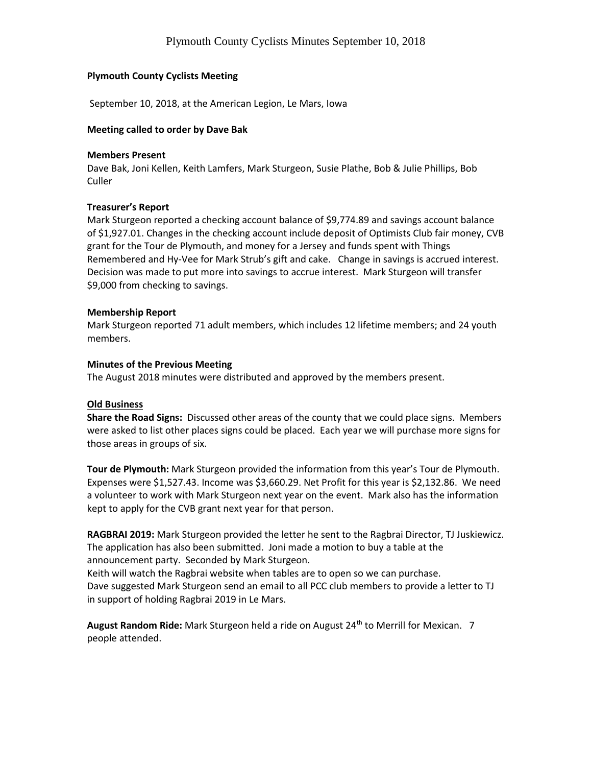# **Plymouth County Cyclists Meeting**

September 10, 2018, at the American Legion, Le Mars, Iowa

#### **Meeting called to order by Dave Bak**

#### **Members Present**

Dave Bak, Joni Kellen, Keith Lamfers, Mark Sturgeon, Susie Plathe, Bob & Julie Phillips, Bob Culler

## **Treasurer's Report**

Mark Sturgeon reported a checking account balance of \$9,774.89 and savings account balance of \$1,927.01. Changes in the checking account include deposit of Optimists Club fair money, CVB grant for the Tour de Plymouth, and money for a Jersey and funds spent with Things Remembered and Hy-Vee for Mark Strub's gift and cake. Change in savings is accrued interest. Decision was made to put more into savings to accrue interest. Mark Sturgeon will transfer \$9,000 from checking to savings.

## **Membership Report**

Mark Sturgeon reported 71 adult members, which includes 12 lifetime members; and 24 youth members.

## **Minutes of the Previous Meeting**

The August 2018 minutes were distributed and approved by the members present.

## **Old Business**

**Share the Road Signs:** Discussed other areas of the county that we could place signs. Members were asked to list other places signs could be placed. Each year we will purchase more signs for those areas in groups of six.

**Tour de Plymouth:** Mark Sturgeon provided the information from this year's Tour de Plymouth. Expenses were \$1,527.43. Income was \$3,660.29. Net Profit for this year is \$2,132.86. We need a volunteer to work with Mark Sturgeon next year on the event. Mark also has the information kept to apply for the CVB grant next year for that person.

**RAGBRAI 2019:** Mark Sturgeon provided the letter he sent to the Ragbrai Director, TJ Juskiewicz. The application has also been submitted. Joni made a motion to buy a table at the announcement party. Seconded by Mark Sturgeon.

Keith will watch the Ragbrai website when tables are to open so we can purchase.

Dave suggested Mark Sturgeon send an email to all PCC club members to provide a letter to TJ in support of holding Ragbrai 2019 in Le Mars.

August Random Ride: Mark Sturgeon held a ride on August 24<sup>th</sup> to Merrill for Mexican. 7 people attended.